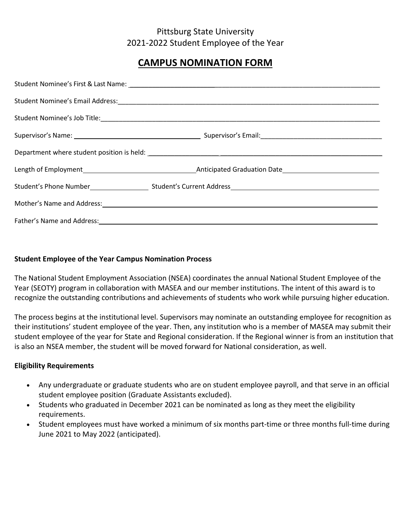## Pittsburg State University 2021-2022 Student Employee of the Year

# **CAMPUS NOMINATION FORM**

| Mother's Name and Address: Name and Address: Name and Address: Name and Address: Name and Address: Name and Address: Name and Address: Name and Address: Name and Address: Name and Address: Name and Address: Name and Addres |
|--------------------------------------------------------------------------------------------------------------------------------------------------------------------------------------------------------------------------------|
|                                                                                                                                                                                                                                |

#### **Student Employee of the Year Campus Nomination Process**

The National Student Employment Association (NSEA) coordinates the annual National Student Employee of the Year (SEOTY) program in collaboration with MASEA and our member institutions. The intent of this award is to recognize the outstanding contributions and achievements of students who work while pursuing higher education.

The process begins at the institutional level. Supervisors may nominate an outstanding employee for recognition as their institutions' student employee of the year. Then, any institution who is a member of MASEA may submit their student employee of the year for State and Regional consideration. If the Regional winner is from an institution that is also an NSEA member, the student will be moved forward for National consideration, as well.

#### **Eligibility Requirements**

- Any undergraduate or graduate students who are on student employee payroll, and that serve in an official student employee position (Graduate Assistants excluded).
- Students who graduated in December 2021 can be nominated as long as they meet the eligibility requirements.
- Student employees must have worked a minimum of six months part-time or three months full-time during June 2021 to May 2022 (anticipated).